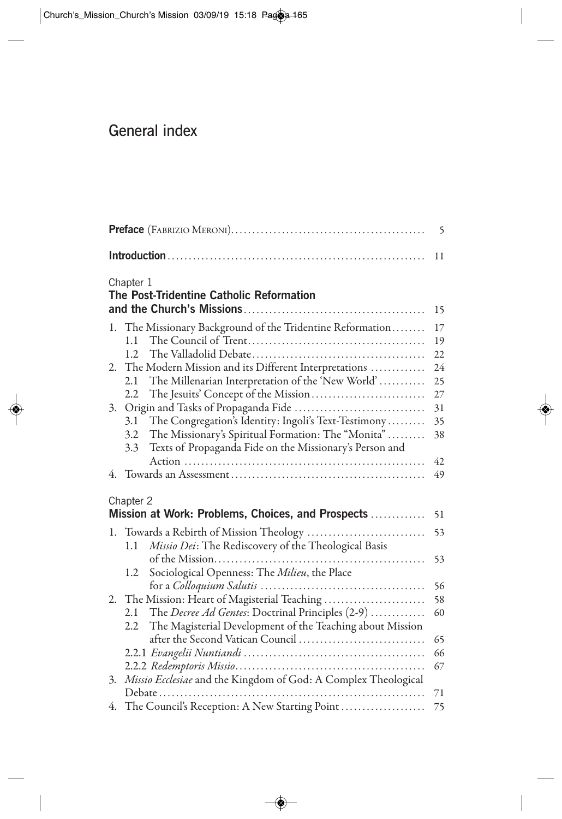## General index

|    |                                                                   | 5      |
|----|-------------------------------------------------------------------|--------|
|    |                                                                   | 11     |
|    | Chapter 1<br>The Post-Tridentine Catholic Reformation             |        |
|    |                                                                   | 15     |
|    | 1. The Missionary Background of the Tridentine Reformation        | 17     |
|    | 1.1                                                               | 19     |
|    | 1.2.                                                              | 22     |
| 2. | The Modern Mission and its Different Interpretations              | 24     |
|    | The Millenarian Interpretation of the 'New World'<br>2.1          | 25     |
|    | 2.2                                                               | $27\,$ |
| 3. |                                                                   | 31     |
|    | The Congregation's Identity: Ingoli's Text-Testimony<br>3.1       | 35     |
|    | The Missionary's Spiritual Formation: The "Monita"<br>3.2         | 38     |
|    | Texts of Propaganda Fide on the Missionary's Person and<br>3.3    | 42     |
|    |                                                                   | 49     |
|    |                                                                   |        |
|    | Chapter 2                                                         |        |
|    | Mission at Work: Problems, Choices, and Prospects                 | 51     |
| 1. |                                                                   | 53     |
|    | Missio Dei: The Rediscovery of the Theological Basis<br>1.1       |        |
|    |                                                                   | 53     |
|    | Sociological Openness: The Milieu, the Place<br>1.2               |        |
|    |                                                                   | 56     |
| 2. | The Mission: Heart of Magisterial Teaching                        | 58     |
|    | The <i>Decree Ad Gentes</i> : Doctrinal Principles (2-9)<br>2.1   | 60     |
|    | The Magisterial Development of the Teaching about Mission<br>2.2  |        |
|    | after the Second Vatican Council                                  | 65     |
|    |                                                                   | 66     |
|    |                                                                   | 67     |
|    | 3. Missio Ecclesiae and the Kingdom of God: A Complex Theological |        |
|    |                                                                   | 71     |
|    | 4. The Council's Reception: A New Starting Point                  | 75     |